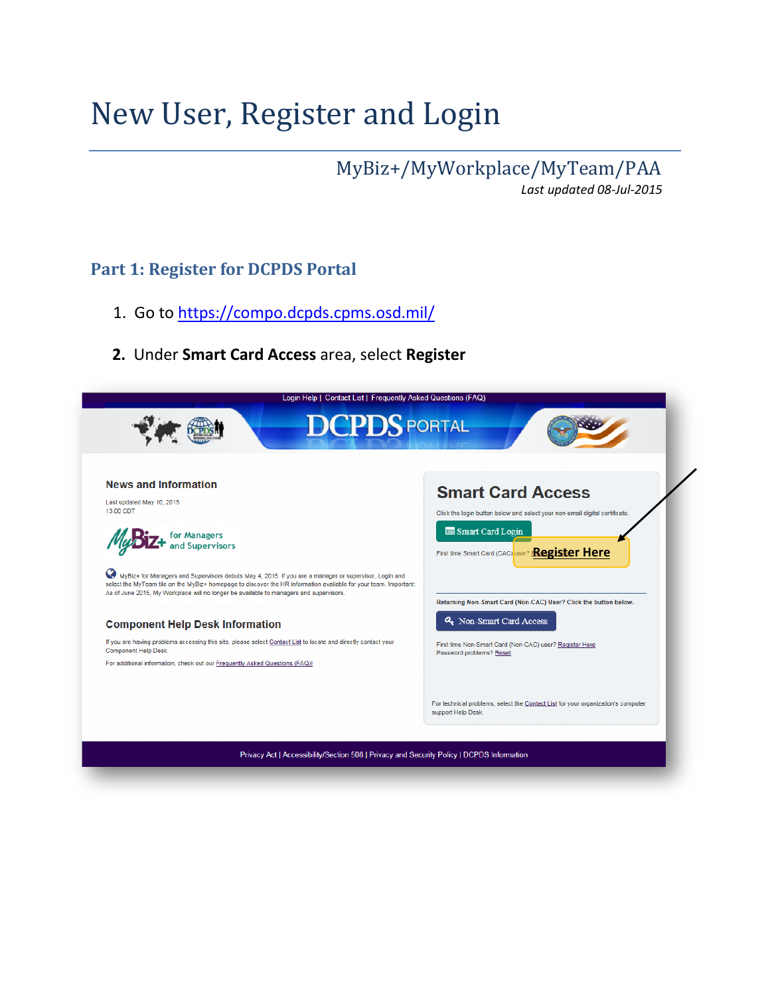# New User, Register and Login

MyBiz+/MyWorkplace/MyTeam/PAA *Last updated 08-Jul-2015*

## **Part 1: Register for DCPDS Portal**

- 1. Go t[o](https://compo.dcpds.cpms.osd.mil/) <https://compo.dcpds.cpms.osd.mil/>
- **2.** Under **Smart Card Access** area, select **Register**

| Login Help   Contact List   Frequently Asked Questions (FAQ)                                                                                                                                                                                                                                                                                                                                                                                                                                                                                                                                                                                                                                            |                                                                                                                                                                                                                                                                                                                                                                       |
|---------------------------------------------------------------------------------------------------------------------------------------------------------------------------------------------------------------------------------------------------------------------------------------------------------------------------------------------------------------------------------------------------------------------------------------------------------------------------------------------------------------------------------------------------------------------------------------------------------------------------------------------------------------------------------------------------------|-----------------------------------------------------------------------------------------------------------------------------------------------------------------------------------------------------------------------------------------------------------------------------------------------------------------------------------------------------------------------|
| <b>DCPDS</b> PORTAL                                                                                                                                                                                                                                                                                                                                                                                                                                                                                                                                                                                                                                                                                     |                                                                                                                                                                                                                                                                                                                                                                       |
| <b>News and Information</b><br>Last updated May 10, 2015<br>13:00 CDT<br>for Managers<br>and Supervisors<br>Ø<br>MyBiz+ for Managers and Supervisors debuts May 4, 2015. If you are a manager or supervisor, Login and<br>select the MyTeam tile on the MyBiz+ homepage to discover the HR information available for your team. Important:<br>As of June 2015, My Workplace will no longer be available to managers and supervisors.<br><b>Component Help Desk Information</b><br>If you are having problems accessing this site, please select Contact List to locate and directly contact your<br>Component Help Desk.<br>For additional information, check out our Frequently Asked Questions (FAQ)! | <b>Smart Card Access</b><br>Click the login button below and select your non-email digital certificate.<br>Smart Card Login<br>First time Smart Card (CAC) user? Register Here<br>Returning Non-Smart Card (Non-CAC) User? Click the button below.<br>Q. Non-Smart Card Access<br>First time Non-Smart Card (Non-CAC) user? Register Here<br>Password problems? Reset |
|                                                                                                                                                                                                                                                                                                                                                                                                                                                                                                                                                                                                                                                                                                         | For technical problems, select the Contact List for your organization's computer<br>support Help Desk.                                                                                                                                                                                                                                                                |
| Privacy Act   Accessibility/Section 508   Privacy and Security Policy   DCPDS Information                                                                                                                                                                                                                                                                                                                                                                                                                                                                                                                                                                                                               |                                                                                                                                                                                                                                                                                                                                                                       |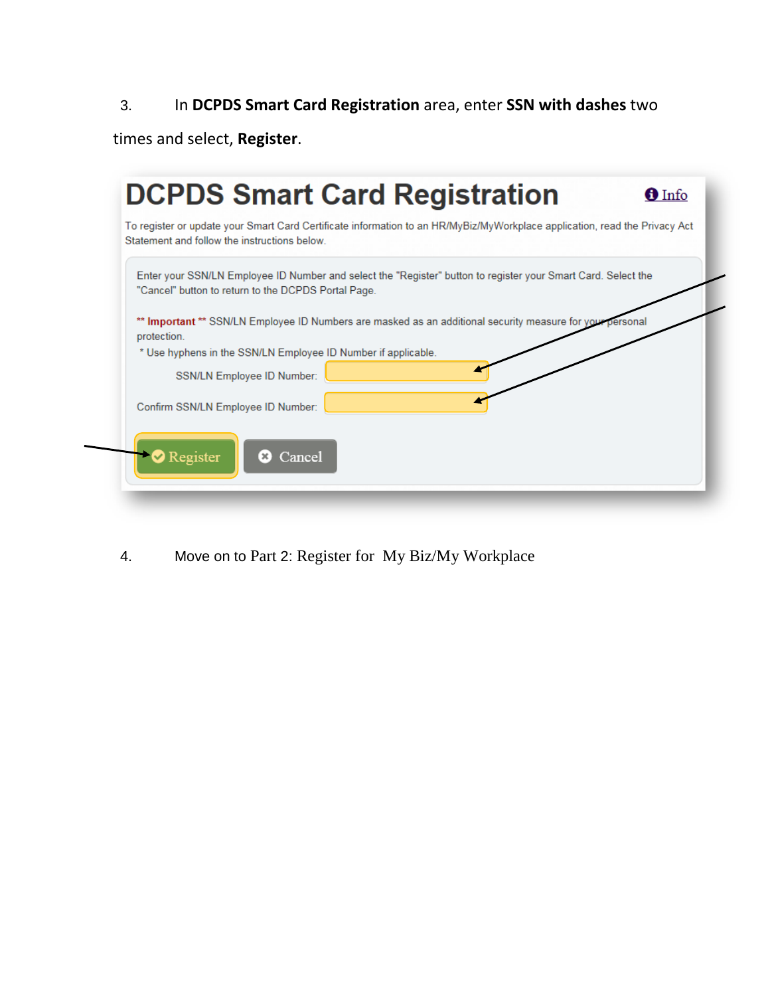## 3. In **DCPDS Smart Card Registration** area, enter **SSN with dashes** two

times and select, **Register**.

|             | To register or update your Smart Card Certificate information to an HR/MyBiz/MyWorkplace application, read the Privacy Act<br>Statement and follow the instructions below |
|-------------|---------------------------------------------------------------------------------------------------------------------------------------------------------------------------|
|             | Enter your SSN/LN Employee ID Number and select the "Register" button to register your Smart Card. Select the<br>"Cancel" button to return to the DCPDS Portal Page.      |
| protection. | ** Important ** SSN/LN Employee ID Numbers are masked as an additional security measure for your personal                                                                 |
|             | * Use hyphens in the SSN/LN Employee ID Number if applicable.                                                                                                             |
|             | SSN/LN Employee ID Number:                                                                                                                                                |
|             | Confirm SSN/LN Employee ID Number:                                                                                                                                        |
|             | Register<br>Cancel                                                                                                                                                        |

4. Move on to Part 2: Register for My Biz/My Workplace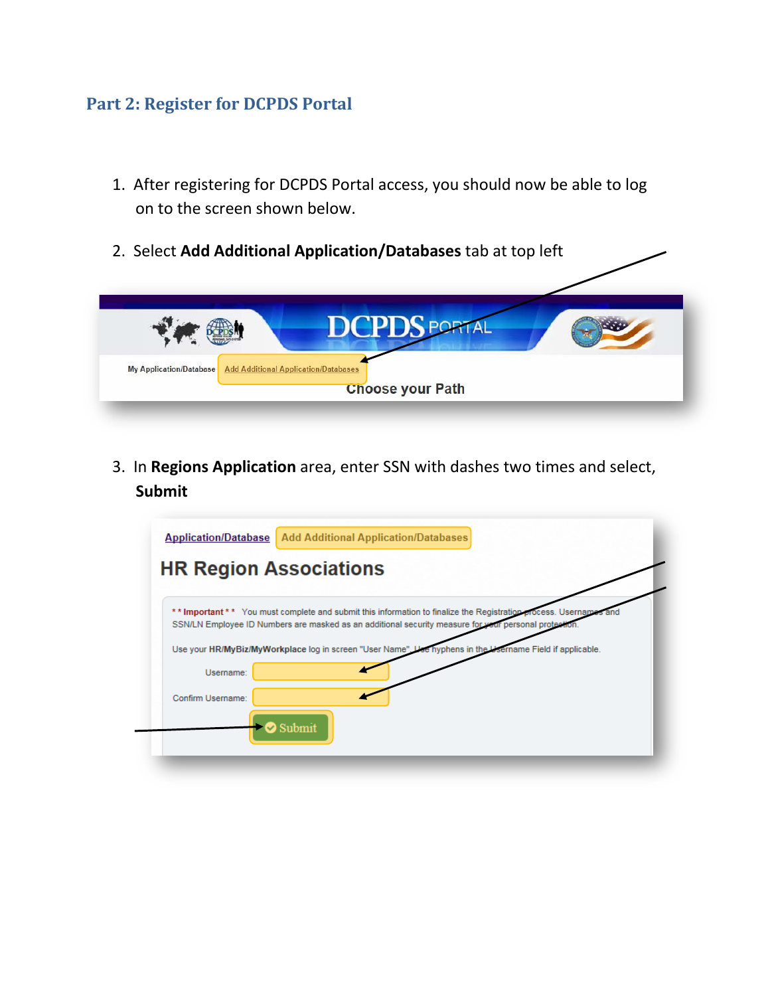## **Part 2: Register for DCPDS Portal**

- 1. After registering for DCPDS Portal access, you should now be able to log on to the screen shown below.
- 2. Select **Add Additional Application/Databases** tab at top left



3. In **Regions Application** area, enter SSN with dashes two times and select, **Submit**

| <b>Application/Database</b> | <b>Add Additional Application/Databases</b>                                                                                                                                                                       |
|-----------------------------|-------------------------------------------------------------------------------------------------------------------------------------------------------------------------------------------------------------------|
|                             | <b>HR Region Associations</b>                                                                                                                                                                                     |
|                             | ** Important ** You must complete and submit this information to finalize the Registration process. Username<br>SSN/LN Employee ID Numbers are masked as an additional security measure for your personal protect |
|                             | e hyphens in the Username Field if applicable.<br>Use your HR/MyBiz/MyWorkplace log in screen "User Name".                                                                                                        |
| Username:                   |                                                                                                                                                                                                                   |
| Confirm Username:           |                                                                                                                                                                                                                   |
|                             | Submit                                                                                                                                                                                                            |
|                             |                                                                                                                                                                                                                   |
|                             |                                                                                                                                                                                                                   |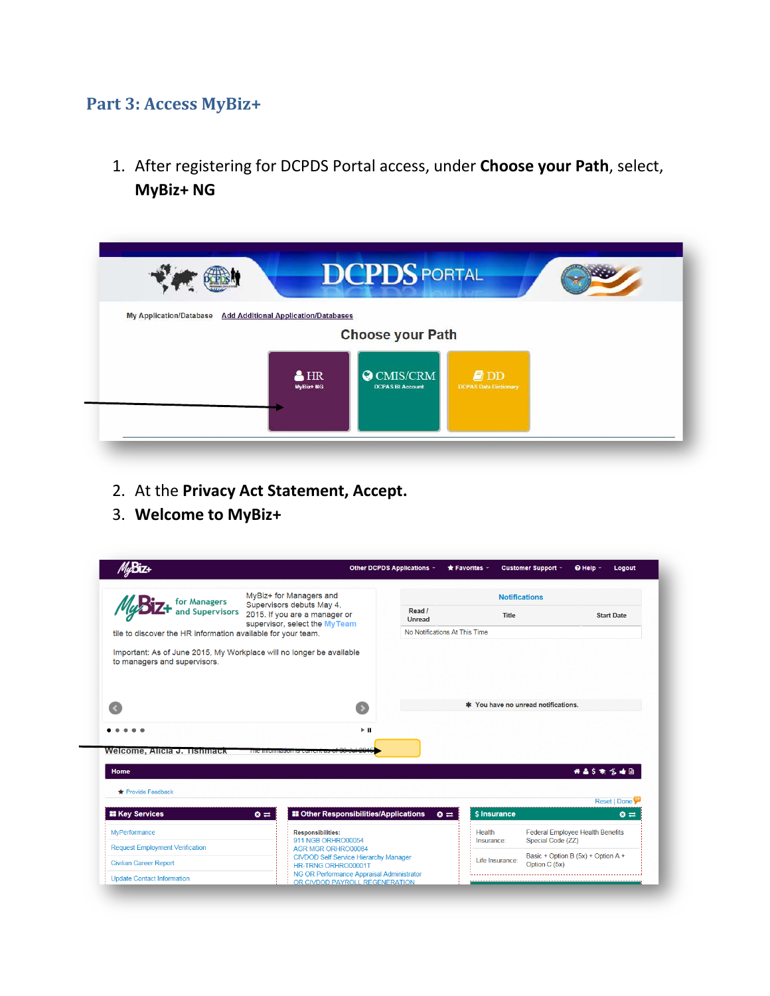## **Part 3: Access MyBiz+**

1. After registering for DCPDS Portal access, under **Choose your Path**, select, **MyBiz+ NG**

| <b>DCPDS PORTAL</b>                                                                                      |                                                |                                         |  |
|----------------------------------------------------------------------------------------------------------|------------------------------------------------|-----------------------------------------|--|
| <b>Add Additional Application/Databases</b><br><b>My Application/Database</b><br><b>Choose your Path</b> |                                                |                                         |  |
| $H_{R}$<br>MyBiz+ NG                                                                                     | $\bigcirc$ CMIS/CRM<br><b>DCPAS BI Account</b> | $\n  D$<br><b>DCPAS Data Dictionary</b> |  |
|                                                                                                          |                                                |                                         |  |

- 2. At the **Privacy Act Statement, Accept.**
- 3. **Welcome to MyBiz+**

|                                                                                                                                                                                 |                                                                                                                                |                                                                                           |                                              |                                                     | Logout      |  |
|---------------------------------------------------------------------------------------------------------------------------------------------------------------------------------|--------------------------------------------------------------------------------------------------------------------------------|-------------------------------------------------------------------------------------------|----------------------------------------------|-----------------------------------------------------|-------------|--|
|                                                                                                                                                                                 | MyBiz+ for Managers and                                                                                                        |                                                                                           |                                              | <b>Notifications</b>                                |             |  |
|                                                                                                                                                                                 | for Managers<br>and Supervisors<br>Supervisors debuts May 4,<br>2015. If you are a manager or<br>supervisor, select the MyTeam |                                                                                           | Title                                        | <b>Start Date</b>                                   |             |  |
| tile to discover the HR information available for your team.                                                                                                                    |                                                                                                                                |                                                                                           | No Notifications At This Time                |                                                     |             |  |
| Important: As of June 2015, My Workplace will no longer be available<br>to managers and supervisors.                                                                            |                                                                                                                                |                                                                                           |                                              |                                                     |             |  |
|                                                                                                                                                                                 |                                                                                                                                |                                                                                           | * You have no unread notifications.          |                                                     |             |  |
|                                                                                                                                                                                 |                                                                                                                                | $\triangleright$ II                                                                       |                                              |                                                     |             |  |
|                                                                                                                                                                                 | THE IMPORTMENT IS CURRENT                                                                                                      |                                                                                           |                                              | 经晶字素 龙曲目                                            |             |  |
|                                                                                                                                                                                 |                                                                                                                                |                                                                                           |                                              |                                                     |             |  |
|                                                                                                                                                                                 | $\bullet$ $\rightleftarrows$                                                                                                   | <b>II</b> Other Responsibilities/Applications                                             | \$ Insurance<br>$\bullet$ $\rightleftarrows$ | Reset   Done                                        | $\bullet =$ |  |
|                                                                                                                                                                                 | <b>Responsibilities:</b>                                                                                                       |                                                                                           | <b>Health</b>                                | Federal Employee Health Benefits                    |             |  |
|                                                                                                                                                                                 | 911 NGB ORHRO00054<br>AGR MGR ORHRO00064                                                                                       |                                                                                           | Insurance:                                   | Special Code (ZZ)                                   |             |  |
| Welcome, Alicia J. Tishmack<br>Home<br>★ Provide Feedback<br><b>II Key Services</b><br>MyPerformance<br><b>Request Employment Verification</b><br><b>Civilian Career Report</b> | HR-TRNG ORHRO00001T                                                                                                            | <b>CIVDOD Self Service Hierarchy Manager</b><br>NG OR Performance Appraisal Administrator | Life Insurance:                              | Basic + Option B (5x) + Option A +<br>Option C (5x) |             |  |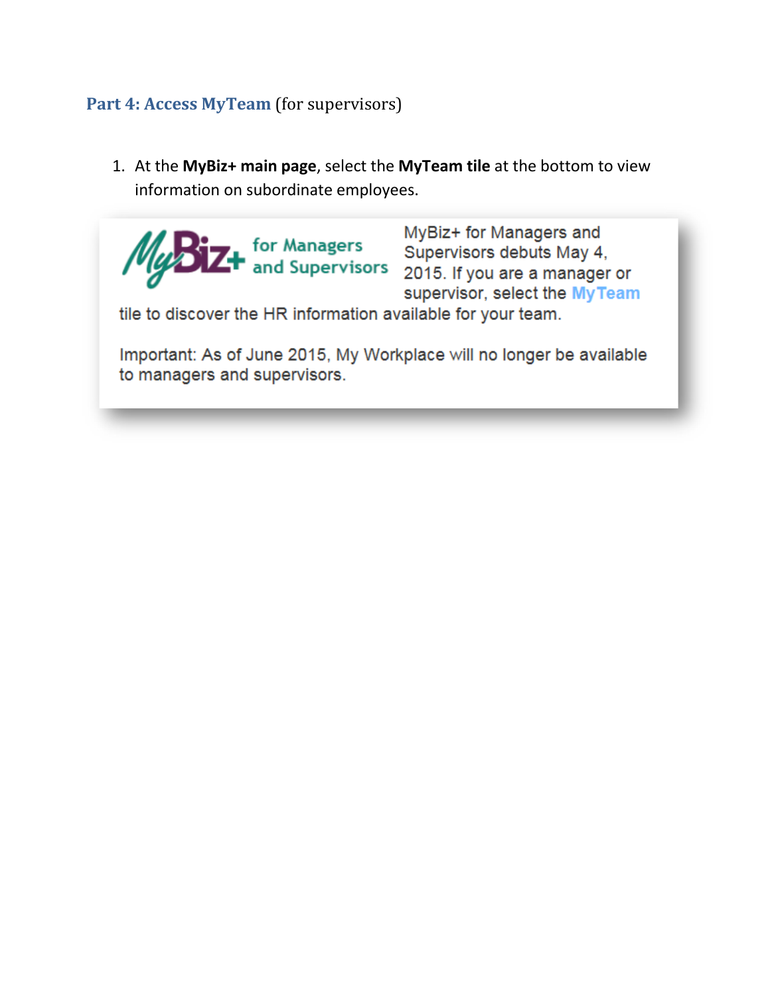#### **Part 4: Access MyTeam** (for supervisors)

1. At the **MyBiz+ main page**, select the **MyTeam tile** at the bottom to view information on subordinate employees.

MyBiz+ for Managers and for Managers<br>Supervisors debuts May 4,<br>**2015** and Supervisors 2015. If you are a manager or supervisor, select the MyTeam tile to discover the HR information available for your team. Important: As of June 2015, My Workplace will no longer be available to managers and supervisors.